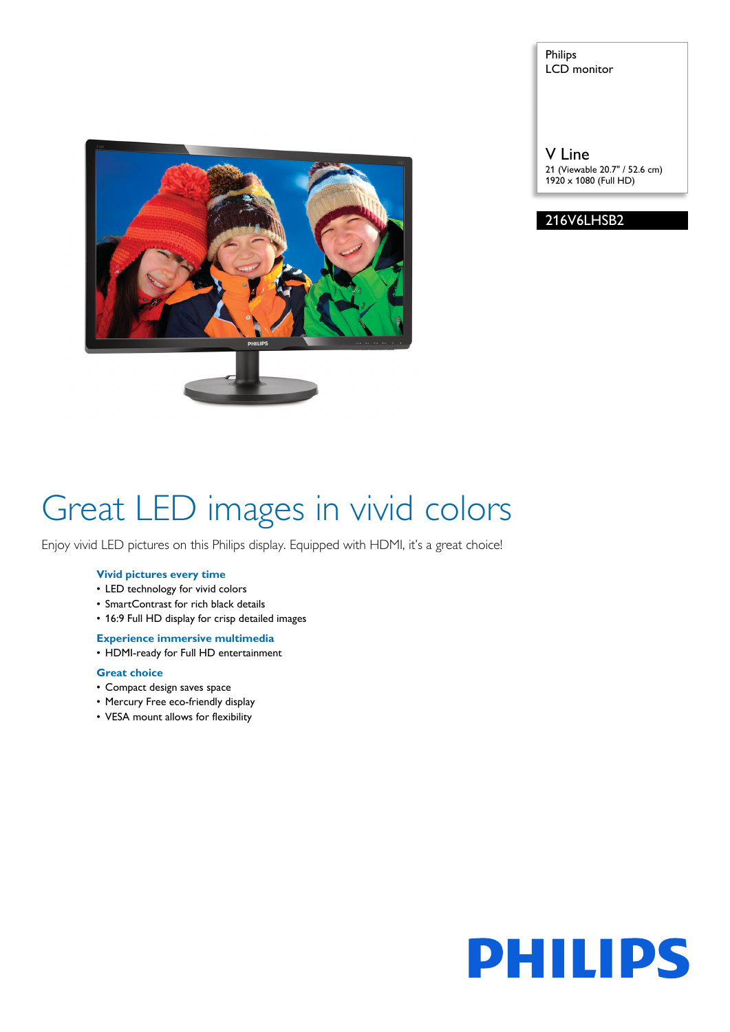

Philips LCD monitor

V Line 21 (Viewable 20.7" / 52.6 cm) 1920 x 1080 (Full HD)

216V6LHSB2

# Great LED images in vivid colors

Enjoy vivid LED pictures on this Philips display. Equipped with HDMI, it's a great choice!

# **Vivid pictures every time**

- LED technology for vivid colors
- SmartContrast for rich black details
- 16:9 Full HD display for crisp detailed images

## **Experience immersive multimedia**

• HDMI-ready for Full HD entertainment

# **Great choice**

- Compact design saves space
- Mercury Free eco-friendly display
- VESA mount allows for flexibility

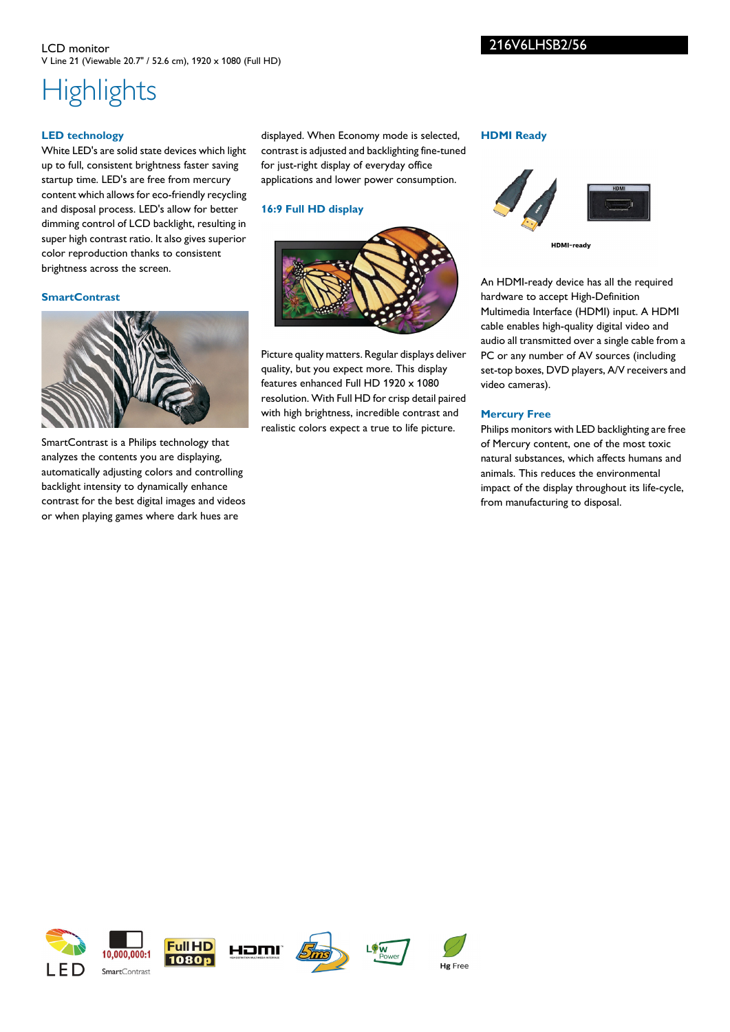# 216V6LHSB2/56

#### LCD monitor V Line 21 (Viewable 20.7" / 52.6 cm), 1920 x 1080 (Full HD)

# **Highlights**

# **LED technology**

White LED's are solid state devices which light up to full, consistent brightness faster saving startup time. LED's are free from mercury content which allows for eco-friendly recycling and disposal process. LED's allow for better dimming control of LCD backlight, resulting in super high contrast ratio. It also gives superior color reproduction thanks to consistent brightness across the screen.

#### **SmartContrast**



SmartContrast is a Philips technology that analyzes the contents you are displaying, automatically adjusting colors and controlling backlight intensity to dynamically enhance contrast for the best digital images and videos or when playing games where dark hues are

displayed. When Economy mode is selected, contrast is adjusted and backlighting fine-tuned for just-right display of everyday office applications and lower power consumption.

# **16:9 Full HD display**



Picture quality matters. Regular displays deliver quality, but you expect more. This display features enhanced Full HD 1920 x 1080 resolution. With Full HD for crisp detail paired with high brightness, incredible contrast and realistic colors expect a true to life picture.

#### **HDMI Ready**



HDMI-ready

An HDMI-ready device has all the required hardware to accept High-Definition Multimedia Interface (HDMI) input. A HDMI cable enables high-quality digital video and audio all transmitted over a single cable from a PC or any number of AV sources (including set-top boxes, DVD players, A/V receivers and video cameras).

# **Mercury Free**

Hg Free

Philips monitors with LED backlighting are free of Mercury content, one of the most toxic natural substances, which affects humans and animals. This reduces the environmental impact of the display throughout its life-cycle, from manufacturing to disposal.



HOMI